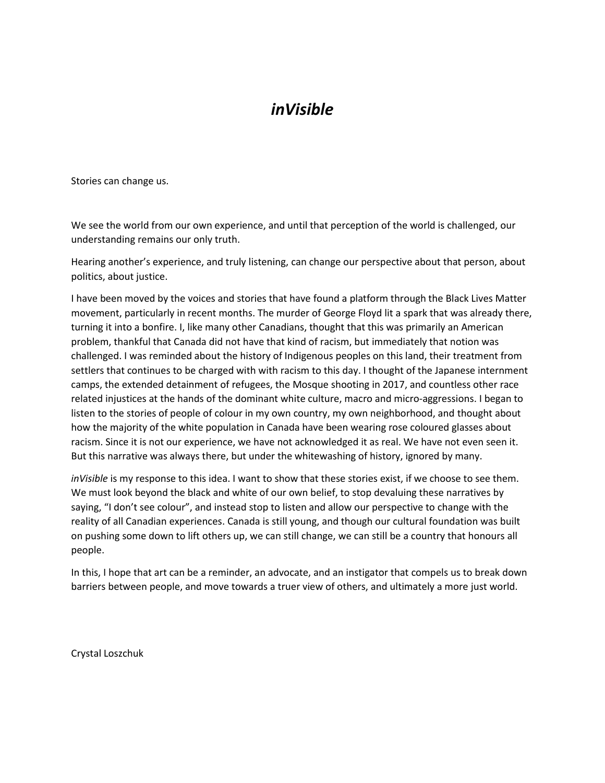#### *inVisible*

Stories can change us.

We see the world from our own experience, and until that perception of the world is challenged, our understanding remains our only truth.

Hearing another's experience, and truly listening, can change our perspective about that person, about politics, about justice.

I have been moved by the voices and stories that have found a platform through the Black Lives Matter movement, particularly in recent months. The murder of George Floyd lit a spark that was already there, turning it into a bonfire. I, like many other Canadians, thought that this was primarily an American problem, thankful that Canada did not have that kind of racism, but immediately that notion was challenged. I was reminded about the history of Indigenous peoples on this land, their treatment from settlers that continues to be charged with with racism to this day. I thought of the Japanese internment camps, the extended detainment of refugees, the Mosque shooting in 2017, and countless other race related injustices at the hands of the dominant white culture, macro and micro-aggressions. I began to listen to the stories of people of colour in my own country, my own neighborhood, and thought about how the majority of the white population in Canada have been wearing rose coloured glasses about racism. Since it is not our experience, we have not acknowledged it as real. We have not even seen it. But this narrative was always there, but under the whitewashing of history, ignored by many.

*inVisible* is my response to this idea. I want to show that these stories exist, if we choose to see them. We must look beyond the black and white of our own belief, to stop devaluing these narratives by saying, "I don't see colour", and instead stop to listen and allow our perspective to change with the reality of all Canadian experiences. Canada is still young, and though our cultural foundation was built on pushing some down to lift others up, we can still change, we can still be a country that honours all people.

In this, I hope that art can be a reminder, an advocate, and an instigator that compels us to break down barriers between people, and move towards a truer view of others, and ultimately a more just world.

Crystal Loszchuk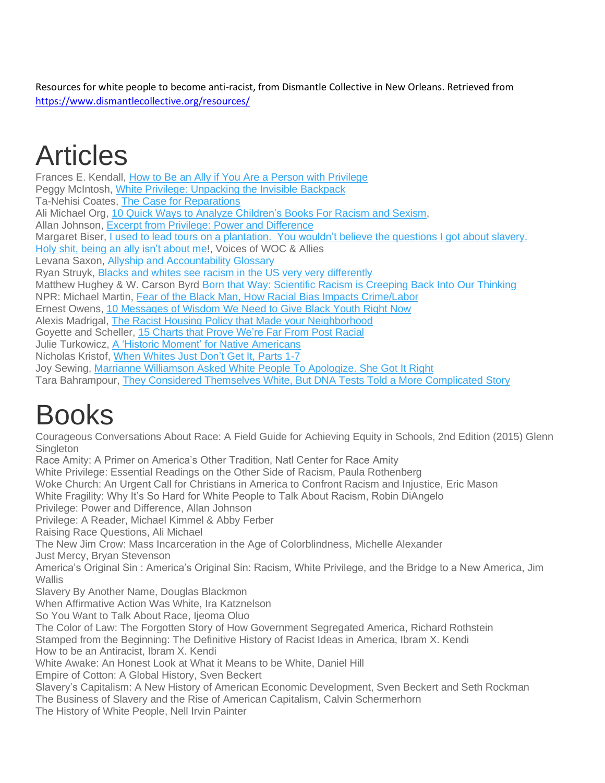Resources for white people to become anti-racist, from Dismantle Collective in New Orleans. Retrieved from <https://www.dismantlecollective.org/resources/>

# Articles

Frances E. Kendall, How to Be an Ally if You Are a Person with [Privilege](http://www.scn.org/friends/ally.html) Peggy McIntosh, White Privilege: [Unpacking](https://nationalseedproject.org/white-privilege-unpacking-the-invisible-knapsack) the Invisible Backpack Ta-Nehisi Coates, The Case for [Reparations](https://www.theatlantic.com/magazine/archive/2014/06/the-case-for-reparations/361631/) Ali Michael Org, 10 Quick Ways to Analyze [Children's](https://alimichael.org/wp-content/uploads/2012/02/10ways-to-analyze-Children-books-for-racism.pdf) Books For Racism and Sexism, Allan Johnson, Excerpt from Privilege: Power and [Difference](http://www.agjohnson.us/books/privilege/excerpt-from-privilege-power-and-difference/) Margaret Biser, I used to lead tours on a [plantation.](https://www.vox.com/2015/6/29/8847385/what-i-learned-from-leading-tours-about-slavery-at-a-plantation) You wouldn't believe the questions I got about slavery. Holy shit, being an ally isn't [about](https://medium.com/@realtalkwocandallies/holy-shit-being-an-ally-isnt-about-me-ae2de5c47514) me!, Voices of WOC & Allies Levana Saxon, Allyship and [Accountability](https://static1.squarespace.com/static/5751c590746fb9c9be542bb3/t/581419235016e1b9d2d97033/1477712164393/Tool+-+Allyship+Glossary.pd) Glossary Ryan Struyk, Blacks and whites see racism in the US very very [differently](http://www.cnn.com/2017/08/16/politics/blacks-white-racism-united-states-polls/index.html) Matthew Hughey & W. Carson Byrd Born that Way: Scientific Racism is [Creeping](https://www.washingtonpost.com/news/monkey-cage/wp/2015/09/28/born-that-way-scientific-racism-is-creeping-back-into-our-thinking-heres-what-to-watch-out-for/?utm_term=.54562a98d3b8) Back Into Our Thinking NPR: Michael Martin, Fear of the Black Man, How Racial Bias Impacts [Crime/Labor](https://www.npr.org/2015/03/30/396405061/fear-of-the-black-man-how-racial-bias-could-affect-crime-labor-rates) Ernest Owens, 10 [Messages](https://www.huffingtonpost.com/ernest-owens/10-messages-of-wisdom-black-youth_b_4581559.html) of Wisdom We Need to Give Black Youth Right Now Alexis Madrigal, The Racist Housing Policy that Made your [Neighborhood](https://www.theatlantic.com/business/archive/2014/05/the-racist-housing-policy-that-made-your-neighborhood/371439/) Goyette and Scheller, 15 [Charts](https://www.huffingtonpost.com/2014/07/02/civil-rights-act-anniversary-racism-charts_n_5521104.html) that Prove We're Far From Post Racial Julie Turkowicz, A 'Historic Moment' for Native [Americans](https://www.nytimes.com/2018/01/04/us/native-american-voting-rights.html) Nicholas Kristof, When [Whites](https://impactamerica.com/the-new-york-times-when-whites-just-dont-get-it-parts-1-7/) Just Don't Get It, Parts 1-7 Joy Sewing, Marrianne [Williamson](http://www.houstonchronicle.com/local/gray-matters/article/How-to-heal-racism-It-starts-with-an-apology-12510316.php) Asked White People To Apologize. She Got It Right Tara Bahrampour, They Considered Themselves White, But DNA Tests Told a More [Complicated](https://www.washingtonpost.com/local/social-issues/they-considered-themselves-white-but-dna-tests-told-a-more-complex-story/2018/02/06/16215d1a-e181-11e7-8679-a9728984779c_story.html?utm_term=.90f4c927acd0) Story

# Books

Courageous Conversations About Race: A Field Guide for Achieving Equity in Schools, 2nd Edition (2015) Glenn **Singleton** 

Race Amity: A Primer on America's Other Tradition, Natl Center for Race Amity

White Privilege: Essential Readings on the Other Side of Racism, Paula Rothenberg

Woke Church: An Urgent Call for Christians in America to Confront Racism and Injustice, Eric Mason

White Fragility: Why It's So Hard for White People to Talk About Racism, Robin DiAngelo

Privilege: Power and Difference, Allan Johnson

Privilege: A Reader, Michael Kimmel & Abby Ferber

Raising Race Questions, Ali Michael

The New Jim Crow: Mass Incarceration in the Age of Colorblindness, Michelle Alexander

Just Mercy, Bryan Stevenson

America's Original Sin : America's Original Sin: Racism, White Privilege, and the Bridge to a New America, Jim Wallis

Slavery By Another Name, Douglas Blackmon

When Affirmative Action Was White, Ira Katznelson

So You Want to Talk About Race, Ijeoma Oluo

The Color of Law: The Forgotten Story of How Government Segregated America, Richard Rothstein

Stamped from the Beginning: The Definitive History of Racist Ideas in America, Ibram X. Kendi How to be an Antiracist, Ibram X. Kendi

White Awake: An Honest Look at What it Means to be White, Daniel Hill

Empire of Cotton: A Global History, Sven Beckert

Slavery's Capitalism: A New History of American Economic Development, Sven Beckert and Seth Rockman The Business of Slavery and the Rise of American Capitalism, Calvin Schermerhorn

The History of White People, Nell Irvin Painter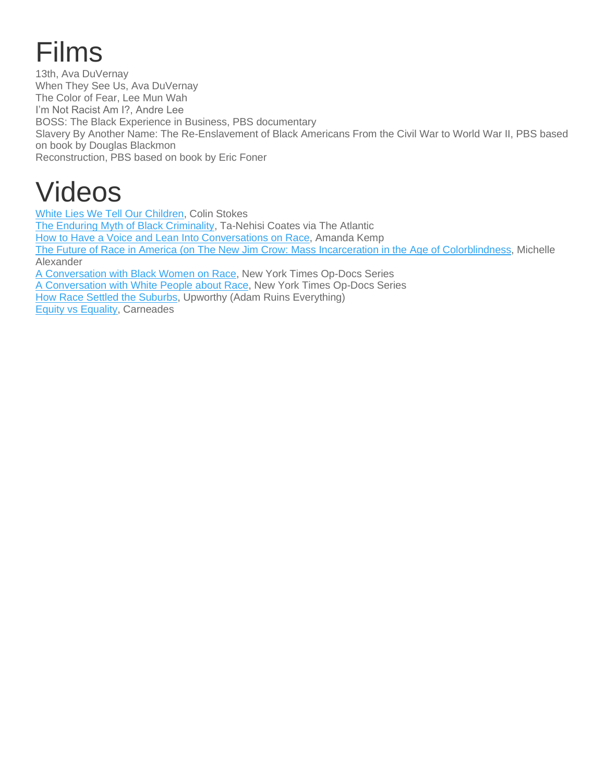# Films

13th, Ava DuVernay When They See Us, Ava DuVernay The Color of Fear, Lee Mun Wah I'm Not Racist Am I?, Andre Lee BOSS: The Black Experience in Business, PBS documentary Slavery By Another Name: The Re-Enslavement of Black Americans From the Civil War to World War II, PBS based on book by Douglas Blackmon Reconstruction, PBS based on book by Eric Foner

# Videos

White Lies We Tell Our [Children,](https://www.youtube.com/watch?v=FoeRoAchf9g) Colin Stokes The Enduring Myth of Black [Criminality,](https://www.theatlantic.com/video/index/404674/enduring-myth-of-black-criminality/) Ta-Nehisi Coates via The Atlantic How to Have a Voice and Lean Into [Conversations](https://www.youtube.com/watch?v=IF--2vGj7Tg) on Race, Amanda Kemp The Future of Race in America (on The New Jim Crow: Mass Incarceration in the Age of [Colorblindness,](https://www.youtube.com/watch?v=SQ6H-Mz6hgw) Michelle Alexander A [Conversation](https://www.youtube.com/watch?v=U-xz4qiUBsw) with Black Women on Race, New York Times Op-Docs Series A [Conversation](https://www.youtube.com/watch?v=xXow7olFyIM) with White People about Race, New York Times Op-Docs Series How Race Settled the [Suburbs,](https://www.facebook.com/Upworthy/videos/796326533903423/) Upworthy (Adam Ruins Everything) Equity vs [Equality,](https://www.youtube.com/watch?v=z68vke2iD6E) Carneades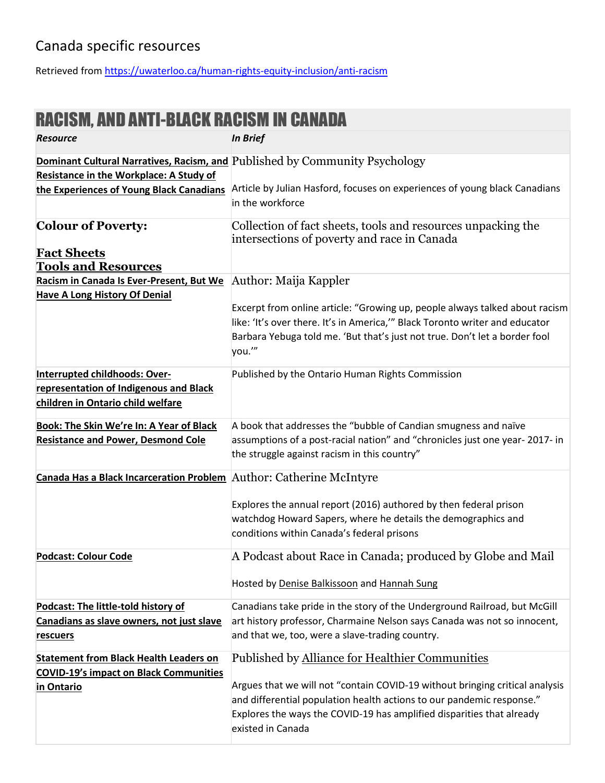#### Canada specific resources

Retrieved from<https://uwaterloo.ca/human-rights-equity-inclusion/anti-racism>

### RACISM, AND ANTI-BLACK RACISM IN CANADA

| <b>Resource</b>                                                     | <b>In Brief</b>                                                              |
|---------------------------------------------------------------------|------------------------------------------------------------------------------|
|                                                                     | Dominant Cultural Narratives, Racism, and Published by Community Psychology  |
| <b>Resistance in the Workplace: A Study of</b>                      |                                                                              |
| the Experiences of Young Black Canadians                            | Article by Julian Hasford, focuses on experiences of young black Canadians   |
|                                                                     | in the workforce                                                             |
| <b>Colour of Poverty:</b>                                           | Collection of fact sheets, tools and resources unpacking the                 |
|                                                                     | intersections of poverty and race in Canada                                  |
| <b>Fact Sheets</b>                                                  |                                                                              |
| <b>Tools and Resources</b>                                          |                                                                              |
| Racism in Canada Is Ever-Present, But We                            | Author: Maija Kappler                                                        |
| <b>Have A Long History Of Denial</b>                                |                                                                              |
|                                                                     | Excerpt from online article: "Growing up, people always talked about racism  |
|                                                                     | like: 'It's over there. It's in America," Black Toronto writer and educator  |
|                                                                     | Barbara Yebuga told me. 'But that's just not true. Don't let a border fool   |
|                                                                     | you.'"                                                                       |
| Interrupted childhoods: Over-                                       | Published by the Ontario Human Rights Commission                             |
| representation of Indigenous and Black                              |                                                                              |
| children in Ontario child welfare                                   |                                                                              |
|                                                                     |                                                                              |
| <b>Book: The Skin We're In: A Year of Black</b>                     | A book that addresses the "bubble of Candian smugness and naïve              |
| <b>Resistance and Power, Desmond Cole</b>                           | assumptions of a post-racial nation" and "chronicles just one year-2017- in  |
|                                                                     | the struggle against racism in this country"                                 |
| Canada Has a Black Incarceration Problem Author: Catherine McIntyre |                                                                              |
|                                                                     |                                                                              |
|                                                                     | Explores the annual report (2016) authored by then federal prison            |
|                                                                     | watchdog Howard Sapers, where he details the demographics and                |
|                                                                     | conditions within Canada's federal prisons                                   |
| <b>Podcast: Colour Code</b>                                         | A Podcast about Race in Canada; produced by Globe and Mail                   |
|                                                                     |                                                                              |
|                                                                     | Hosted by Denise Balkissoon and Hannah Sung                                  |
|                                                                     |                                                                              |
| Podcast: The little-told history of                                 | Canadians take pride in the story of the Underground Railroad, but McGill    |
| Canadians as slave owners, not just slave                           | art history professor, Charmaine Nelson says Canada was not so innocent,     |
| <u>rescuers</u>                                                     | and that we, too, were a slave-trading country.                              |
| <b>Statement from Black Health Leaders on</b>                       | Published by Alliance for Healthier Communities                              |
| <b>COVID-19's impact on Black Communities</b>                       |                                                                              |
| in Ontario                                                          | Argues that we will not "contain COVID-19 without bringing critical analysis |
|                                                                     | and differential population health actions to our pandemic response."        |
|                                                                     | Explores the ways the COVID-19 has amplified disparities that already        |
|                                                                     | existed in Canada                                                            |
|                                                                     |                                                                              |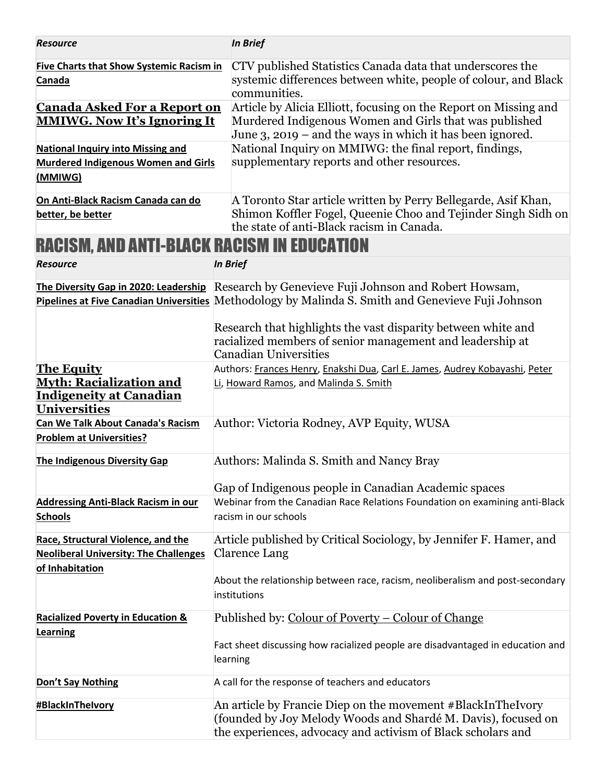| <b>Resource</b>                                                                                              |                                                    | <b>In Brief</b>                                                                                                                                                                                   |  |
|--------------------------------------------------------------------------------------------------------------|----------------------------------------------------|---------------------------------------------------------------------------------------------------------------------------------------------------------------------------------------------------|--|
| <b>Five Charts that Show Systemic Racism in</b><br>Canada                                                    |                                                    | CTV published Statistics Canada data that underscores the<br>systemic differences between white, people of colour, and Black<br>communities.                                                      |  |
| <b>Canada Asked For a Report on</b><br><b>MMIWG. Now It's Ignoring It</b>                                    |                                                    | Article by Alicia Elliott, focusing on the Report on Missing and<br>Murdered Indigenous Women and Girls that was published<br>June $3$ , 2019 – and the ways in which it has been ignored.        |  |
| <b>National Inquiry into Missing and</b><br><b>Murdered Indigenous Women and Girls</b><br>(MMIWG)            |                                                    | National Inquiry on MMIWG: the final report, findings,<br>supplementary reports and other resources.                                                                                              |  |
| On Anti-Black Racism Canada can do<br>better, be better                                                      |                                                    | A Toronto Star article written by Perry Bellegarde, Asif Khan,<br>Shimon Koffler Fogel, Queenie Choo and Tejinder Singh Sidh on<br>the state of anti-Black racism in Canada.                      |  |
| <b>RACISM, AND ANTI-BLACK RACISM IN EDUCATION</b>                                                            |                                                    |                                                                                                                                                                                                   |  |
| <b>Resource</b>                                                                                              |                                                    | <b>In Brief</b>                                                                                                                                                                                   |  |
|                                                                                                              |                                                    | The Diversity Gap in 2020: Leadership Research by Genevieve Fuji Johnson and Robert Howsam,<br>Pipelines at Five Canadian Universities Methodology by Malinda S. Smith and Genevieve Fuji Johnson |  |
|                                                                                                              |                                                    | Research that highlights the vast disparity between white and<br>racialized members of senior management and leadership at<br><b>Canadian Universities</b>                                        |  |
| <b>The Equity</b><br><b>Myth: Racialization and</b><br><b>Indigeneity at Canadian</b><br><b>Universities</b> |                                                    | Authors: Frances Henry, Enakshi Dua, Carl E. James, Audrey Kobayashi, Peter<br>Li, Howard Ramos, and Malinda S. Smith                                                                             |  |
| <b>Can We Talk About Canada's Racism</b><br><b>Problem at Universities?</b>                                  |                                                    | Author: Victoria Rodney, AVP Equity, WUSA                                                                                                                                                         |  |
| The Indigenous Diversity Gap                                                                                 |                                                    | Authors: Malinda S. Smith and Nancy Bray                                                                                                                                                          |  |
|                                                                                                              |                                                    | Gap of Indigenous people in Canadian Academic spaces                                                                                                                                              |  |
| <b>Addressing Anti-Black Racism in our</b><br><b>Schools</b>                                                 |                                                    | Webinar from the Canadian Race Relations Foundation on examining anti-Black<br>racism in our schools                                                                                              |  |
| Race, Structural Violence, and the<br><b>Neoliberal University: The Challenges</b><br>of Inhabitation        |                                                    | Article published by Critical Sociology, by Jennifer F. Hamer, and<br><b>Clarence Lang</b>                                                                                                        |  |
|                                                                                                              |                                                    | About the relationship between race, racism, neoliberalism and post-secondary<br>institutions                                                                                                     |  |
| <b>Racialized Poverty in Education &amp;</b>                                                                 | Published by: Colour of Poverty – Colour of Change |                                                                                                                                                                                                   |  |
| <b>Learning</b>                                                                                              |                                                    | Fact sheet discussing how racialized people are disadvantaged in education and<br>learning                                                                                                        |  |
| Don't Say Nothing                                                                                            |                                                    | A call for the response of teachers and educators                                                                                                                                                 |  |
| #BlackInThelvory                                                                                             |                                                    | An article by Francie Diep on the movement #BlackInTheIvory<br>(founded by Joy Melody Woods and Shardé M. Davis), focused on<br>the experiences, advocacy and activism of Black scholars and      |  |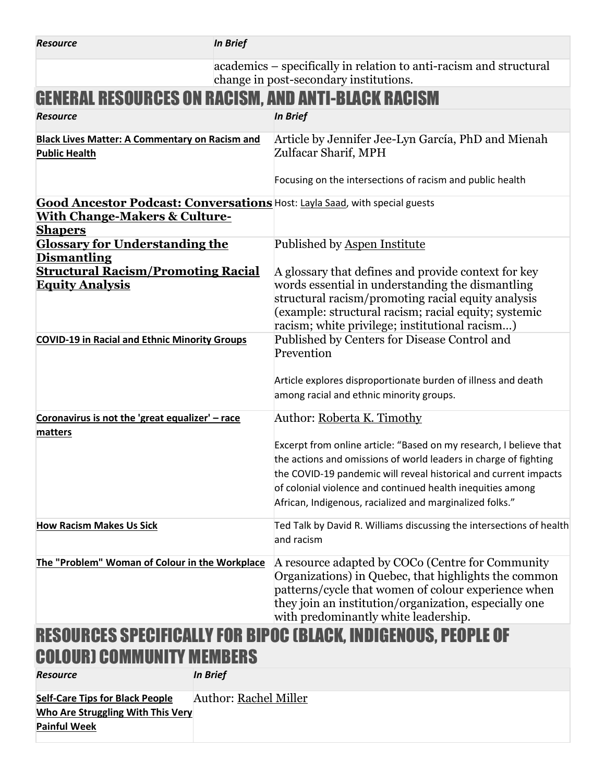| <b>Resource</b>                                                                                                                    | <b>In Brief</b>              |                                                                                                                                                                                                                                                                                                                                      |
|------------------------------------------------------------------------------------------------------------------------------------|------------------------------|--------------------------------------------------------------------------------------------------------------------------------------------------------------------------------------------------------------------------------------------------------------------------------------------------------------------------------------|
|                                                                                                                                    |                              | academics – specifically in relation to anti-racism and structural<br>change in post-secondary institutions.                                                                                                                                                                                                                         |
|                                                                                                                                    |                              | <b>GENERAL RESOURCES ON RACISM, AND ANTI-BLACK RACISM</b>                                                                                                                                                                                                                                                                            |
| <b>Resource</b>                                                                                                                    |                              | <b>In Brief</b>                                                                                                                                                                                                                                                                                                                      |
| <b>Black Lives Matter: A Commentary on Racism and</b><br><b>Public Health</b>                                                      |                              | Article by Jennifer Jee-Lyn García, PhD and Mienah<br>Zulfacar Sharif, MPH<br>Focusing on the intersections of racism and public health                                                                                                                                                                                              |
| <b>With Change-Makers &amp; Culture-</b><br><b>Shapers</b>                                                                         |                              | Good Ancestor Podcast: Conversations Host: Layla Saad, with special guests                                                                                                                                                                                                                                                           |
| <b>Glossary for Understanding the</b><br><b>Dismantling</b><br><b>Structural Racism/Promoting Racial</b><br><b>Equity Analysis</b> |                              | Published by Aspen Institute<br>A glossary that defines and provide context for key<br>words essential in understanding the dismantling<br>structural racism/promoting racial equity analysis<br>(example: structural racism; racial equity; systemic<br>racism; white privilege; institutional racism)                              |
| <b>COVID-19 in Racial and Ethnic Minority Groups</b>                                                                               |                              | Published by Centers for Disease Control and<br>Prevention<br>Article explores disproportionate burden of illness and death<br>among racial and ethnic minority groups.                                                                                                                                                              |
| Coronavirus is not the 'great equalizer' - race                                                                                    |                              | Author: Roberta K. Timothy                                                                                                                                                                                                                                                                                                           |
| matters                                                                                                                            |                              | Excerpt from online article: "Based on my research, I believe that<br>the actions and omissions of world leaders in charge of fighting<br>the COVID-19 pandemic will reveal historical and current impacts<br>of colonial violence and continued health inequities among<br>African, Indigenous, racialized and marginalized folks." |
| <b>How Racism Makes Us Sick</b>                                                                                                    |                              | Ted Talk by David R. Williams discussing the intersections of health<br>and racism                                                                                                                                                                                                                                                   |
| The "Problem" Woman of Colour in the Workplace                                                                                     |                              | A resource adapted by COCo (Centre for Community<br>Organizations) in Quebec, that highlights the common<br>patterns/cycle that women of colour experience when<br>they join an institution/organization, especially one<br>with predominantly white leadership.                                                                     |
| <b>RESOURCES SPECIFICALLY FOR BIPOC (BLACK, INDIGENOUS, PEOPLE OF</b><br><b>COLOURI COMMUNITY MEMBERS</b>                          |                              |                                                                                                                                                                                                                                                                                                                                      |
| <b>Resource</b>                                                                                                                    | <b>In Brief</b>              |                                                                                                                                                                                                                                                                                                                                      |
| <b>Self-Care Tips for Black People</b><br>Who Are Struggling With This Very<br><b>Painful Week</b>                                 | <b>Author: Rachel Miller</b> |                                                                                                                                                                                                                                                                                                                                      |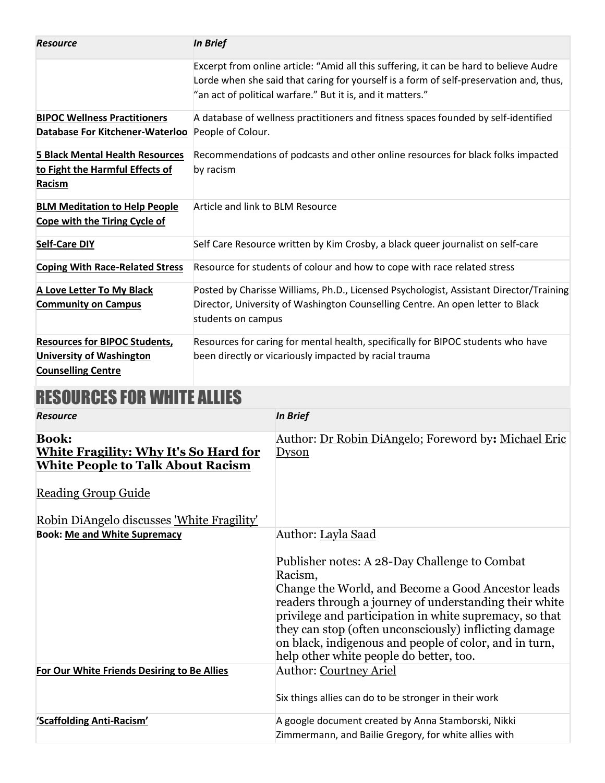| <b>Resource</b>                                                                     | <b>In Brief</b>                                                                                                                                                                                                                                |
|-------------------------------------------------------------------------------------|------------------------------------------------------------------------------------------------------------------------------------------------------------------------------------------------------------------------------------------------|
|                                                                                     | Excerpt from online article: "Amid all this suffering, it can be hard to believe Audre<br>Lorde when she said that caring for yourself is a form of self-preservation and, thus,<br>"an act of political warfare." But it is, and it matters." |
| <b>BIPOC Wellness Practitioners</b>                                                 | A database of wellness practitioners and fitness spaces founded by self-identified                                                                                                                                                             |
| Database For Kitchener-Waterloo                                                     | People of Colour.                                                                                                                                                                                                                              |
| <b>5 Black Mental Health Resources</b><br>to Fight the Harmful Effects of<br>Racism | Recommendations of podcasts and other online resources for black folks impacted<br>by racism                                                                                                                                                   |
| <b>BLM Meditation to Help People</b><br>Cope with the Tiring Cycle of               | Article and link to BLM Resource                                                                                                                                                                                                               |
| <b>Self-Care DIY</b>                                                                | Self Care Resource written by Kim Crosby, a black queer journalist on self-care                                                                                                                                                                |
| <b>Coping With Race-Related Stress</b>                                              | Resource for students of colour and how to cope with race related stress                                                                                                                                                                       |
| A Love Letter To My Black                                                           | Posted by Charisse Williams, Ph.D., Licensed Psychologist, Assistant Director/Training                                                                                                                                                         |
| <b>Community on Campus</b>                                                          | Director, University of Washington Counselling Centre. An open letter to Black<br>students on campus                                                                                                                                           |
| <b>Resources for BIPOC Students,</b>                                                | Resources for caring for mental health, specifically for BIPOC students who have                                                                                                                                                               |
| <b>University of Washington</b>                                                     | been directly or vicariously impacted by racial trauma                                                                                                                                                                                         |
| <b>Counselling Centre</b>                                                           |                                                                                                                                                                                                                                                |

## RESOURCES FOR WHITE ALLIES

| <b>Resource</b>                                                                                                                        | <b>In Brief</b>                                                                                                                                                                                                                                                                                                                                                                                                         |
|----------------------------------------------------------------------------------------------------------------------------------------|-------------------------------------------------------------------------------------------------------------------------------------------------------------------------------------------------------------------------------------------------------------------------------------------------------------------------------------------------------------------------------------------------------------------------|
| <b>Book:</b><br><b>White Fragility: Why It's So Hard for</b><br><b>White People to Talk About Racism</b><br><b>Reading Group Guide</b> | Author: Dr Robin DiAngelo; Foreword by: Michael Eric<br><b>Dyson</b>                                                                                                                                                                                                                                                                                                                                                    |
| Robin DiAngelo discusses 'White Fragility'                                                                                             |                                                                                                                                                                                                                                                                                                                                                                                                                         |
| <b>Book: Me and White Supremacy</b>                                                                                                    | Author: Layla Saad<br>Publisher notes: A 28-Day Challenge to Combat<br>Racism,<br>Change the World, and Become a Good Ancestor leads<br>readers through a journey of understanding their white<br>privilege and participation in white supremacy, so that<br>they can stop (often unconsciously) inflicting damage<br>on black, indigenous and people of color, and in turn,<br>help other white people do better, too. |
| For Our White Friends Desiring to Be Allies                                                                                            | <b>Author: Courtney Ariel</b><br>Six things allies can do to be stronger in their work                                                                                                                                                                                                                                                                                                                                  |
| 'Scaffolding Anti-Racism'                                                                                                              | A google document created by Anna Stamborski, Nikki<br>Zimmermann, and Bailie Gregory, for white allies with                                                                                                                                                                                                                                                                                                            |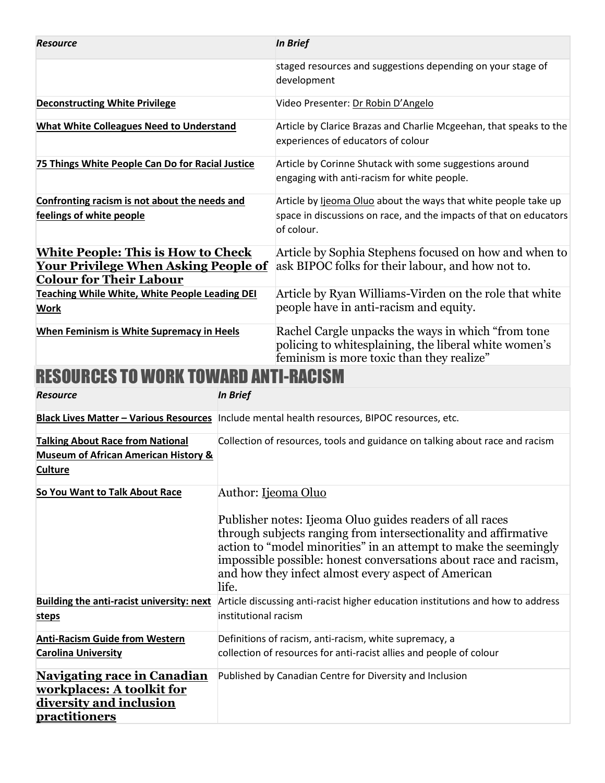| <b>Resource</b>                                                                                                             |                                                                                                                                                                                                                                                                                                                                      | <b>In Brief</b>                                                                                                                                           |
|-----------------------------------------------------------------------------------------------------------------------------|--------------------------------------------------------------------------------------------------------------------------------------------------------------------------------------------------------------------------------------------------------------------------------------------------------------------------------------|-----------------------------------------------------------------------------------------------------------------------------------------------------------|
|                                                                                                                             |                                                                                                                                                                                                                                                                                                                                      | staged resources and suggestions depending on your stage of<br>development                                                                                |
| <b>Deconstructing White Privilege</b>                                                                                       |                                                                                                                                                                                                                                                                                                                                      | Video Presenter: Dr Robin D'Angelo                                                                                                                        |
| <b>What White Colleagues Need to Understand</b>                                                                             |                                                                                                                                                                                                                                                                                                                                      | Article by Clarice Brazas and Charlie Mcgeehan, that speaks to the<br>experiences of educators of colour                                                  |
| 75 Things White People Can Do for Racial Justice                                                                            |                                                                                                                                                                                                                                                                                                                                      | Article by Corinne Shutack with some suggestions around<br>engaging with anti-racism for white people.                                                    |
| Confronting racism is not about the needs and<br>feelings of white people                                                   |                                                                                                                                                                                                                                                                                                                                      | Article by lieoma Oluo about the ways that white people take up<br>space in discussions on race, and the impacts of that on educators<br>of colour.       |
| <b>White People: This is How to Check</b><br><u> Your Privilege When Asking People of</u><br><b>Colour for Their Labour</b> |                                                                                                                                                                                                                                                                                                                                      | Article by Sophia Stephens focused on how and when to<br>ask BIPOC folks for their labour, and how not to.                                                |
| Teaching While White, White People Leading DEI<br><b>Work</b>                                                               |                                                                                                                                                                                                                                                                                                                                      | Article by Ryan Williams-Virden on the role that white<br>people have in anti-racism and equity.                                                          |
| When Feminism is White Supremacy in Heels                                                                                   |                                                                                                                                                                                                                                                                                                                                      | Rachel Cargle unpacks the ways in which "from tone"<br>policing to whitesplaining, the liberal white women's<br>feminism is more toxic than they realize" |
| RESOURCES TO WORK TOWARD ANTI-RACISM                                                                                        |                                                                                                                                                                                                                                                                                                                                      |                                                                                                                                                           |
| <b>Resource</b>                                                                                                             | <b>In Brief</b>                                                                                                                                                                                                                                                                                                                      |                                                                                                                                                           |
|                                                                                                                             |                                                                                                                                                                                                                                                                                                                                      | Black Lives Matter - Various Resources   Include mental health resources, BIPOC resources, etc.                                                           |
| <b>Talking About Race from National</b><br><b>Museum of African American History &amp;</b><br><b>Culture</b>                |                                                                                                                                                                                                                                                                                                                                      | Collection of resources, tools and guidance on talking about race and racism                                                                              |
| So You Want to Talk About Race                                                                                              | Author: Ijeoma Oluo                                                                                                                                                                                                                                                                                                                  |                                                                                                                                                           |
|                                                                                                                             | Publisher notes: I jeoma Oluo guides readers of all races<br>through subjects ranging from intersectionality and affirmative<br>action to "model minorities" in an attempt to make the seemingly<br>impossible possible: honest conversations about race and racism,<br>and how they infect almost every aspect of American<br>life. |                                                                                                                                                           |
| <b>Building the anti-racist university: next</b>                                                                            | Article discussing anti-racist higher education institutions and how to address<br>institutional racism                                                                                                                                                                                                                              |                                                                                                                                                           |
| <b>steps</b>                                                                                                                |                                                                                                                                                                                                                                                                                                                                      |                                                                                                                                                           |
| <b>Anti-Racism Guide from Western</b>                                                                                       |                                                                                                                                                                                                                                                                                                                                      | Definitions of racism, anti-racism, white supremacy, a<br>collection of resources for anti-racist allies and people of colour                             |
| <b>Carolina University</b>                                                                                                  |                                                                                                                                                                                                                                                                                                                                      |                                                                                                                                                           |
| <b>Navigating race in Canadian</b><br>workplaces: A toolkit for<br>diversity and inclusion<br><b>practitioners</b>          |                                                                                                                                                                                                                                                                                                                                      | Published by Canadian Centre for Diversity and Inclusion                                                                                                  |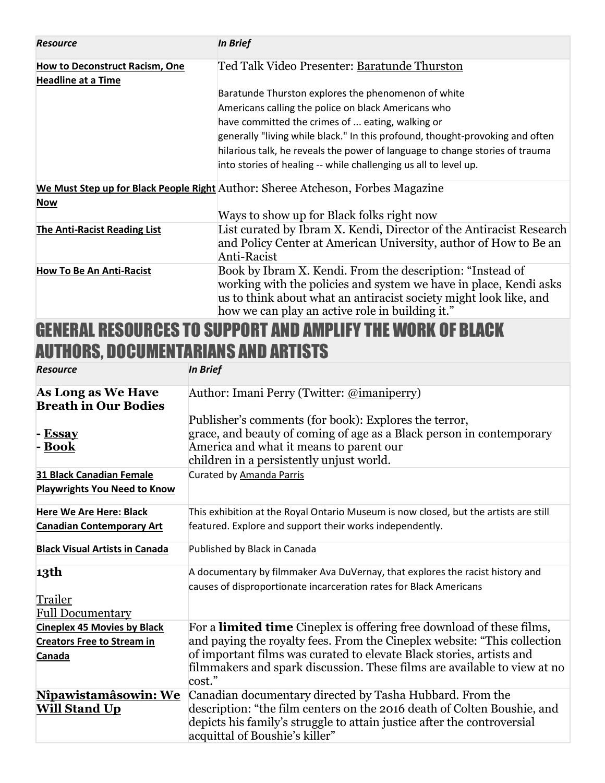| <b>Resource</b>                                                    | <b>In Brief</b>                                                                                                                                                                                                                                        |  |
|--------------------------------------------------------------------|--------------------------------------------------------------------------------------------------------------------------------------------------------------------------------------------------------------------------------------------------------|--|
| <b>How to Deconstruct Racism, One</b><br><b>Headline at a Time</b> | Ted Talk Video Presenter: Baratunde Thurston                                                                                                                                                                                                           |  |
|                                                                    | Baratunde Thurston explores the phenomenon of white                                                                                                                                                                                                    |  |
|                                                                    | Americans calling the police on black Americans who                                                                                                                                                                                                    |  |
|                                                                    | have committed the crimes of  eating, walking or                                                                                                                                                                                                       |  |
|                                                                    | generally "living while black." In this profound, thought-provoking and often                                                                                                                                                                          |  |
|                                                                    | hilarious talk, he reveals the power of language to change stories of trauma                                                                                                                                                                           |  |
|                                                                    | into stories of healing -- while challenging us all to level up.                                                                                                                                                                                       |  |
|                                                                    | We Must Step up for Black People Right Author: Sheree Atcheson, Forbes Magazine                                                                                                                                                                        |  |
| <b>Now</b>                                                         |                                                                                                                                                                                                                                                        |  |
|                                                                    | Ways to show up for Black folks right now                                                                                                                                                                                                              |  |
| <b>The Anti-Racist Reading List</b>                                | List curated by Ibram X. Kendi, Director of the Antiracist Research<br>and Policy Center at American University, author of How to Be an<br>Anti-Racist                                                                                                 |  |
| <b>How To Be An Anti-Racist</b>                                    | Book by Ibram X. Kendi. From the description: "Instead of<br>working with the policies and system we have in place, Kendi asks<br>us to think about what an antiracist society might look like, and<br>how we can play an active role in building it." |  |

#### GENERAL RESOURCES TO SUPPORT AND AMPLIFY THE WORK OF BLACK AUTHORS, DOCUMENTARIANS AND ARTISTS

| <b>Resource</b>                                                                   | <b>In Brief</b>                                                                                                                                                                                                                                                                                                         |
|-----------------------------------------------------------------------------------|-------------------------------------------------------------------------------------------------------------------------------------------------------------------------------------------------------------------------------------------------------------------------------------------------------------------------|
| <b>As Long as We Have</b><br><b>Breath in Our Bodies</b><br>- Essay<br>- Book     | Author: Imani Perry (Twitter: @imaniperry)<br>Publisher's comments (for book): Explores the terror,<br>grace, and beauty of coming of age as a Black person in contemporary<br>America and what it means to parent our<br>children in a persistently unjust world.                                                      |
| 31 Black Canadian Female<br><b>Playwrights You Need to Know</b>                   | Curated by Amanda Parris                                                                                                                                                                                                                                                                                                |
| <b>Here We Are Here: Black</b><br><b>Canadian Contemporary Art</b>                | This exhibition at the Royal Ontario Museum is now closed, but the artists are still<br>featured. Explore and support their works independently.                                                                                                                                                                        |
| <b>Black Visual Artists in Canada</b>                                             | Published by Black in Canada                                                                                                                                                                                                                                                                                            |
| 13th<br>Trailer<br><b>Full Documentary</b>                                        | A documentary by filmmaker Ava DuVernay, that explores the racist history and<br>causes of disproportionate incarceration rates for Black Americans                                                                                                                                                                     |
| <b>Cineplex 45 Movies by Black</b><br><b>Creators Free to Stream in</b><br>Canada | For a <b>limited time</b> Cineplex is offering free download of these films,<br>and paying the royalty fees. From the Cineplex website: "This collection"<br>of important films was curated to elevate Black stories, artists and<br>filmmakers and spark discussion. These films are available to view at no<br>cost." |
| <u>Nîpawistamâsowin: We</u><br><b>Will Stand Up</b>                               | Canadian documentary directed by Tasha Hubbard. From the<br>description: "the film centers on the 2016 death of Colten Boushie, and<br>depicts his family's struggle to attain justice after the controversial<br>acquittal of Boushie's killer"                                                                        |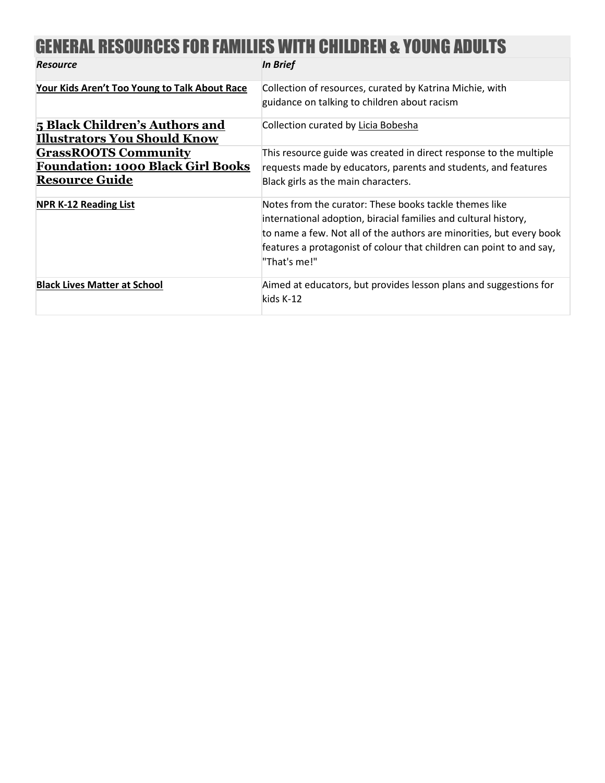## GENERAL RESOURCES FOR FAMILIES WITH CHILDREN & YOUNG ADULTS

| <b>Resource</b>                                                                                  | <b>In Brief</b>                                                                                                                                                                                                                                                                           |
|--------------------------------------------------------------------------------------------------|-------------------------------------------------------------------------------------------------------------------------------------------------------------------------------------------------------------------------------------------------------------------------------------------|
| Your Kids Aren't Too Young to Talk About Race                                                    | Collection of resources, curated by Katrina Michie, with<br>guidance on talking to children about racism                                                                                                                                                                                  |
|                                                                                                  |                                                                                                                                                                                                                                                                                           |
| 5 Black Children's Authors and<br><b>Illustrators You Should Know</b>                            | Collection curated by Licia Bobesha                                                                                                                                                                                                                                                       |
| <b>GrassROOTS Community</b><br><b>Foundation: 1000 Black Girl Books</b><br><b>Resource Guide</b> | This resource guide was created in direct response to the multiple<br>requests made by educators, parents and students, and features<br>Black girls as the main characters.                                                                                                               |
| <b>NPR K-12 Reading List</b>                                                                     | Notes from the curator: These books tackle themes like<br>international adoption, biracial families and cultural history,<br>to name a few. Not all of the authors are minorities, but every book<br>features a protagonist of colour that children can point to and say,<br>"That's me!" |
| <b>Black Lives Matter at School</b>                                                              | Aimed at educators, but provides lesson plans and suggestions for<br>kids K-12                                                                                                                                                                                                            |